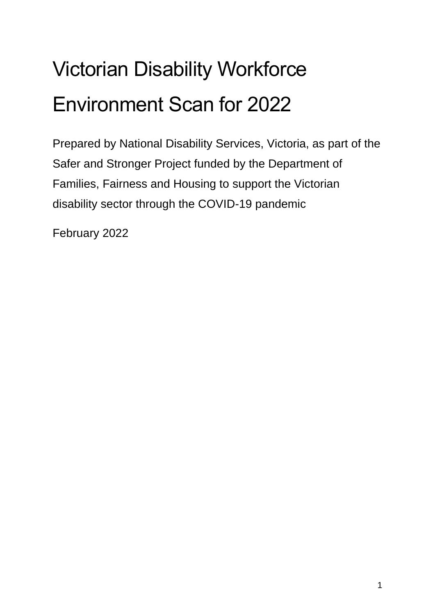# Victorian Disability Workforce Environment Scan for 2022

Prepared by National Disability Services, Victoria, as part of the Safer and Stronger Project funded by the Department of Families, Fairness and Housing to support the Victorian disability sector through the COVID-19 pandemic

February 2022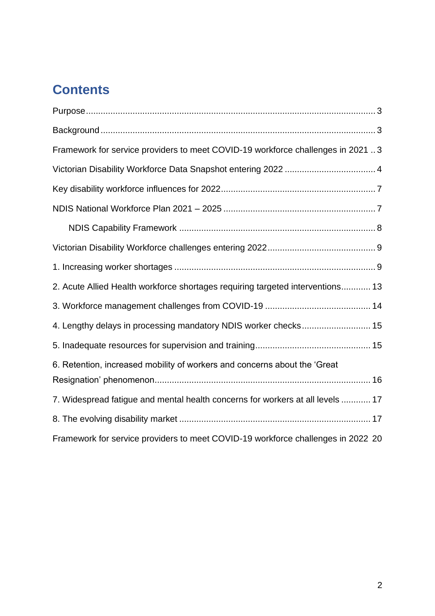# **Contents**

| Framework for service providers to meet COVID-19 workforce challenges in 2021 3  |
|----------------------------------------------------------------------------------|
|                                                                                  |
|                                                                                  |
|                                                                                  |
|                                                                                  |
|                                                                                  |
|                                                                                  |
| 2. Acute Allied Health workforce shortages requiring targeted interventions 13   |
|                                                                                  |
| 4. Lengthy delays in processing mandatory NDIS worker checks 15                  |
|                                                                                  |
| 6. Retention, increased mobility of workers and concerns about the 'Great        |
| 7. Widespread fatigue and mental health concerns for workers at all levels  17   |
|                                                                                  |
| Framework for service providers to meet COVID-19 workforce challenges in 2022 20 |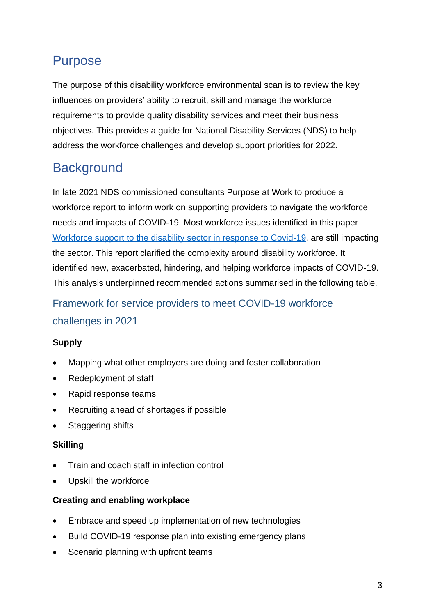# <span id="page-2-0"></span>Purpose

The purpose of this disability workforce environmental scan is to review the key influences on providers' ability to recruit, skill and manage the workforce requirements to provide quality disability services and meet their business objectives. This provides a guide for National Disability Services (NDS) to help address the workforce challenges and develop support priorities for 2022.

# <span id="page-2-1"></span>**Background**

In late 2021 NDS commissioned consultants Purpose at Work to produce a workforce report to inform work on supporting providers to navigate the workforce needs and impacts of COVID-19. Most workforce issues identified in this paper [Workforce support to the disability sector in response to Covid-19,](https://www.nds.org.au/images/workforce/workforce-project/NDS-COVID-19-Workforce-Paper_final-V-Public.pdf) are still impacting the sector. This report clarified the complexity around disability workforce. It identified new, exacerbated, hindering, and helping workforce impacts of COVID-19. This analysis underpinned recommended actions summarised in the following table.

# <span id="page-2-2"></span>Framework for service providers to meet COVID-19 workforce challenges in 2021

#### **Supply**

- Mapping what other employers are doing and foster collaboration
- Redeployment of staff
- Rapid response teams
- Recruiting ahead of shortages if possible
- Staggering shifts

#### **Skilling**

- Train and coach staff in infection control
- Upskill the workforce

#### **Creating and enabling workplace**

- Embrace and speed up implementation of new technologies
- Build COVID-19 response plan into existing emergency plans
- Scenario planning with upfront teams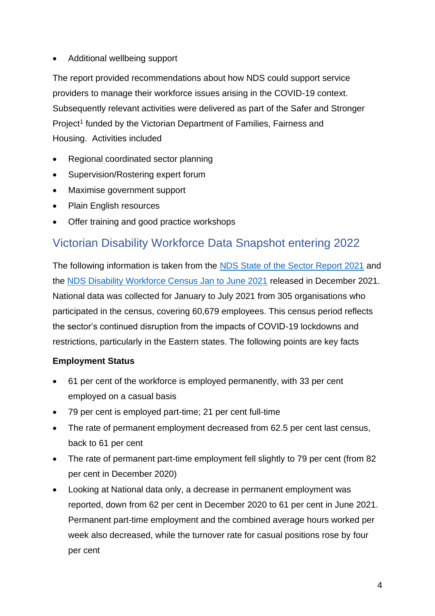• Additional wellbeing support

The report provided recommendations about how NDS could support service providers to manage their workforce issues arising in the COVID-19 context. Subsequently relevant activities were delivered as part of the Safer and Stronger Project<sup>1</sup> funded by the Victorian Department of Families, Fairness and Housing. Activities included

- Regional coordinated sector planning
- Supervision/Rostering expert forum
- Maximise government support
- Plain English resources
- Offer training and good practice workshops

# <span id="page-3-0"></span>Victorian Disability Workforce Data Snapshot entering 2022

The following information is taken from the [NDS State of the Sector Report 2021](https://www.nds.org.au/about/state-of-the-disability-sector-report) and the [NDS Disability Workforce Census Jan to June 2021](https://www.nds.org.au/images/news/2021-June-NDS_Workforce_Census_Key_Findings.pdf) released in December 2021. National data was collected for January to July 2021 from 305 organisations who participated in the census, covering 60,679 employees. This census period reflects the sector's continued disruption from the impacts of COVID-19 lockdowns and restrictions, particularly in the Eastern states. The following points are key facts

#### **Employment Status**

- 61 per cent of the workforce is employed permanently, with 33 per cent employed on a casual basis
- 79 per cent is employed part-time; 21 per cent full-time
- The rate of permanent employment decreased from 62.5 per cent last census, back to 61 per cent
- The rate of permanent part-time employment fell slightly to 79 per cent (from 82) per cent in December 2020)
- Looking at National data only, a decrease in permanent employment was reported, down from 62 per cent in December 2020 to 61 per cent in June 2021. Permanent part-time employment and the combined average hours worked per week also decreased, while the turnover rate for casual positions rose by four per cent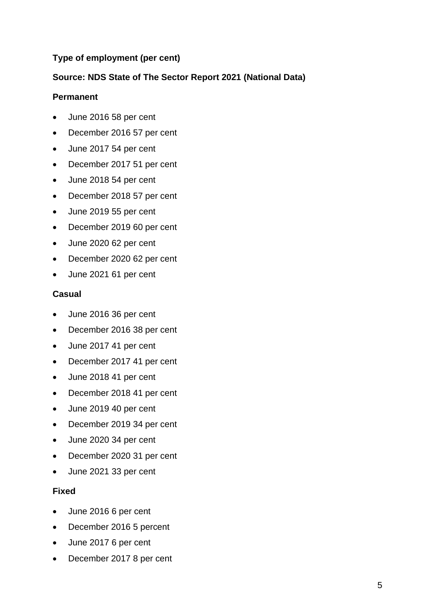#### **Type of employment (per cent)**

#### **Source: NDS State of The Sector Report 2021 (National Data)**

#### **Permanent**

- June 2016 58 per cent
- December 2016 57 per cent
- June 2017 54 per cent
- December 2017 51 per cent
- June 2018 54 per cent
- December 2018 57 per cent
- June 2019 55 per cent
- December 2019 60 per cent
- June 2020 62 per cent
- December 2020 62 per cent
- June 2021 61 per cent

#### **Casual**

- June 2016 36 per cent
- December 2016 38 per cent
- June 2017 41 per cent
- December 2017 41 per cent
- June 2018 41 per cent
- December 2018 41 per cent
- June 2019 40 per cent
- December 2019 34 per cent
- June 2020 34 per cent
- December 2020 31 per cent
- June 2021 33 per cent

#### **Fixed**

- June 2016 6 per cent
- December 2016 5 percent
- June 2017 6 per cent
- December 2017 8 per cent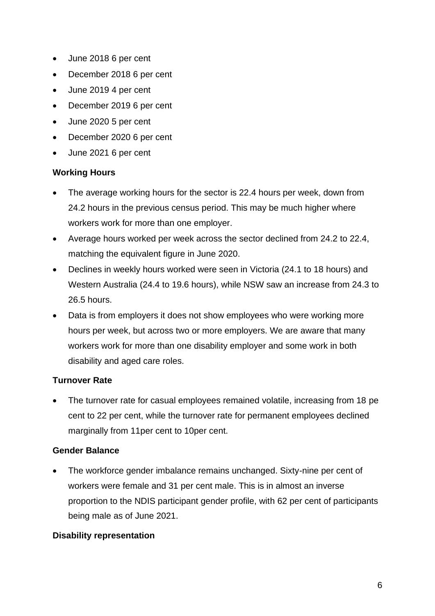- June 2018 6 per cent
- December 2018 6 per cent
- June 2019 4 per cent
- December 2019 6 per cent
- June 2020 5 per cent
- December 2020 6 per cent
- June 2021 6 per cent

#### **Working Hours**

- The average working hours for the sector is 22.4 hours per week, down from 24.2 hours in the previous census period. This may be much higher where workers work for more than one employer.
- Average hours worked per week across the sector declined from 24.2 to 22.4, matching the equivalent figure in June 2020.
- Declines in weekly hours worked were seen in Victoria (24.1 to 18 hours) and Western Australia (24.4 to 19.6 hours), while NSW saw an increase from 24.3 to 26.5 hours.
- Data is from employers it does not show employees who were working more hours per week, but across two or more employers. We are aware that many workers work for more than one disability employer and some work in both disability and aged care roles.

#### **Turnover Rate**

• The turnover rate for casual employees remained volatile, increasing from 18 pe cent to 22 per cent, while the turnover rate for permanent employees declined marginally from 11per cent to 10per cent.

#### **Gender Balance**

The workforce gender imbalance remains unchanged. Sixty-nine per cent of workers were female and 31 per cent male. This is in almost an inverse proportion to the NDIS participant gender profile, with 62 per cent of participants being male as of June 2021.

#### **Disability representation**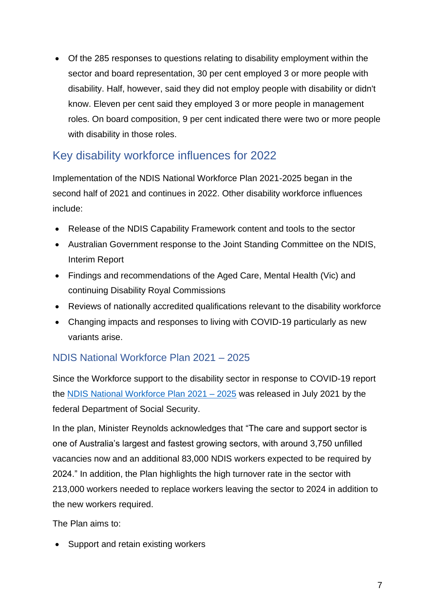• Of the 285 responses to questions relating to disability employment within the sector and board representation, 30 per cent employed 3 or more people with disability. Half, however, said they did not employ people with disability or didn't know. Eleven per cent said they employed 3 or more people in management roles. On board composition, 9 per cent indicated there were two or more people with disability in those roles.

## <span id="page-6-0"></span>Key disability workforce influences for 2022

Implementation of the NDIS National Workforce Plan 2021-2025 began in the second half of 2021 and continues in 2022. Other disability workforce influences include:

- Release of the NDIS Capability Framework content and tools to the sector
- Australian Government response to the Joint Standing Committee on the NDIS, Interim Report
- Findings and recommendations of the Aged Care, Mental Health (Vic) and continuing Disability Royal Commissions
- Reviews of nationally accredited qualifications relevant to the disability workforce
- Changing impacts and responses to living with COVID-19 particularly as new variants arise.

## <span id="page-6-1"></span>NDIS National Workforce Plan 2021 – 2025

Since the Workforce support to the disability sector in response to COVID-19 report the [NDIS National Workforce Plan 2021 –](https://www.dss.gov.au/sites/default/files/documents/06_2021/ndis-national-workforce-plan-2021-2025.pdf) 2025 was released in July 2021 by the federal Department of Social Security.

In the plan, Minister Reynolds acknowledges that "The care and support sector is one of Australia's largest and fastest growing sectors, with around 3,750 unfilled vacancies now and an additional 83,000 NDIS workers expected to be required by 2024." In addition, the Plan highlights the high turnover rate in the sector with 213,000 workers needed to replace workers leaving the sector to 2024 in addition to the new workers required.

The Plan aims to:

• Support and retain existing workers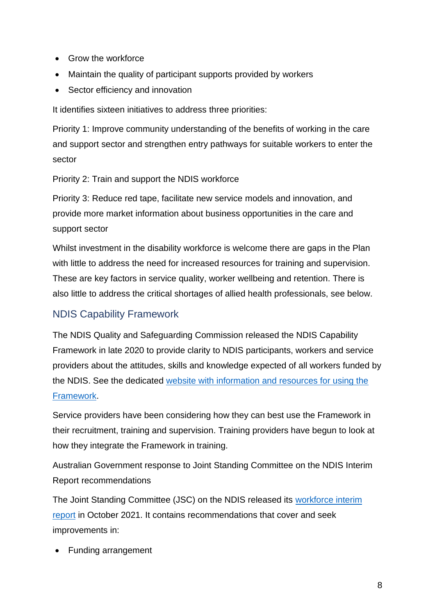- Grow the workforce
- Maintain the quality of participant supports provided by workers
- Sector efficiency and innovation

It identifies sixteen initiatives to address three priorities:

Priority 1: Improve community understanding of the benefits of working in the care and support sector and strengthen entry pathways for suitable workers to enter the sector

Priority 2: Train and support the NDIS workforce

Priority 3: Reduce red tape, facilitate new service models and innovation, and provide more market information about business opportunities in the care and support sector

Whilst investment in the disability workforce is welcome there are gaps in the Plan with little to address the need for increased resources for training and supervision. These are key factors in service quality, worker wellbeing and retention. There is also little to address the critical shortages of allied health professionals, see below.

#### <span id="page-7-0"></span>NDIS Capability Framework

The NDIS Quality and Safeguarding Commission released the NDIS Capability Framework in late 2020 to provide clarity to NDIS participants, workers and service providers about the attitudes, skills and knowledge expected of all workers funded by the NDIS. See the dedicated [website with information and resources for using the](https://workforcecapability.ndiscommission.gov.au/)  [Framework.](https://workforcecapability.ndiscommission.gov.au/)

Service providers have been considering how they can best use the Framework in their recruitment, training and supervision. Training providers have begun to look at how they integrate the Framework in training.

Australian Government response to Joint Standing Committee on the NDIS Interim Report recommendations

The Joint Standing Committee (JSC) on the NDIS released its [workforce interim](https://www.dss.gov.au/disability-and-carers-programs-services-for-people-with-disability-national-disability-insurance-scheme/australian-government-response-to-the-national-disability-insurance-scheme-workforce-interim-report-of-the-joint-standing-committee-on-the-national)  [report](https://www.dss.gov.au/disability-and-carers-programs-services-for-people-with-disability-national-disability-insurance-scheme/australian-government-response-to-the-national-disability-insurance-scheme-workforce-interim-report-of-the-joint-standing-committee-on-the-national) in October 2021. It contains recommendations that cover and seek improvements in:

• Funding arrangement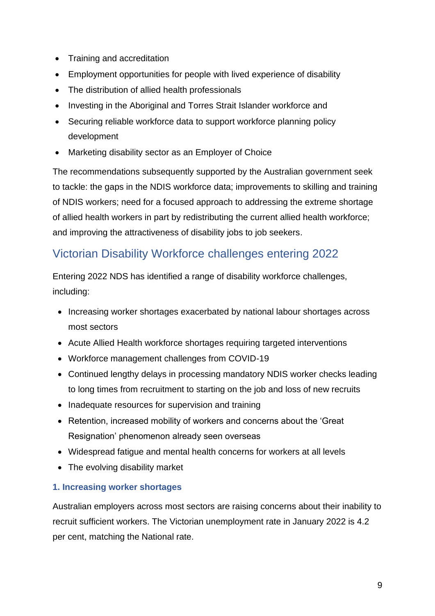- Training and accreditation
- Employment opportunities for people with lived experience of disability
- The distribution of allied health professionals
- Investing in the Aboriginal and Torres Strait Islander workforce and
- Securing reliable workforce data to support workforce planning policy development
- Marketing disability sector as an Employer of Choice

The recommendations subsequently supported by the Australian government seek to tackle: the gaps in the NDIS workforce data; improvements to skilling and training of NDIS workers; need for a focused approach to addressing the extreme shortage of allied health workers in part by redistributing the current allied health workforce; and improving the attractiveness of disability jobs to job seekers.

# <span id="page-8-0"></span>Victorian Disability Workforce challenges entering 2022

Entering 2022 NDS has identified a range of disability workforce challenges, including:

- Increasing worker shortages exacerbated by national labour shortages across most sectors
- Acute Allied Health workforce shortages requiring targeted interventions
- Workforce management challenges from COVID-19
- Continued lengthy delays in processing mandatory NDIS worker checks leading to long times from recruitment to starting on the job and loss of new recruits
- Inadequate resources for supervision and training
- Retention, increased mobility of workers and concerns about the 'Great Resignation' phenomenon already seen overseas
- Widespread fatigue and mental health concerns for workers at all levels
- The evolving disability market

#### <span id="page-8-1"></span>**1. Increasing worker shortages**

Australian employers across most sectors are raising concerns about their inability to recruit sufficient workers. The Victorian unemployment rate in January 2022 is 4.2 per cent, matching the National rate.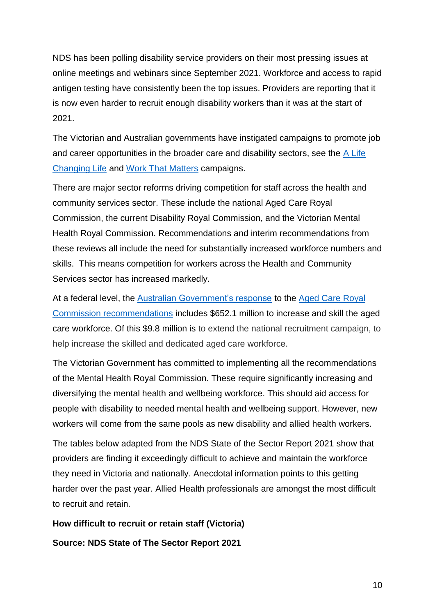NDS has been polling disability service providers on their most pressing issues at online meetings and webinars since September 2021. Workforce and access to rapid antigen testing have consistently been the top issues. Providers are reporting that it is now even harder to recruit enough disability workers than it was at the start of 2021.

The Victorian and Australian governments have instigated campaigns to promote job and career opportunities in the broader care and disability sectors, see the  $\overline{A}$  Life [Changing Life](https://www.careandsupportjobs.gov.au/?gclid=Cj0KCQiAosmPBhCPARIsAHOen-Oi39W0HrEIrI2GgNvS3AswhhNvp4ht1zseNRdDiw_jjbiZ8ymxS4MaAslcEALw_wcB&gclsrc=aw.ds) and [Work That Matters](https://www.vic.gov.au/disability-careers-work-matters) campaigns.

There are major sector reforms driving competition for staff across the health and community services sector. These include the national Aged Care Royal Commission, the current Disability Royal Commission, and the Victorian Mental Health Royal Commission. Recommendations and interim recommendations from these reviews all include the need for substantially increased workforce numbers and skills. This means competition for workers across the Health and Community Services sector has increased markedly.

At a federal level, the [Australian Government's response](https://www.health.gov.au/ministers/the-hon-greg-hunt-mp/media/177-billion-to-deliver-once-in-a-generation-change-to-aged-care-in-australia) to the [Aged Care Royal](https://agedcare.royalcommission.gov.au/sites/default/files/2021-03/final-report-recommendations.pdf)  [Commission recommendations](https://agedcare.royalcommission.gov.au/sites/default/files/2021-03/final-report-recommendations.pdf) includes \$652.1 million to increase and skill the aged care workforce. Of this \$9.8 million is to extend the national recruitment campaign, to help increase the skilled and dedicated aged care workforce.

The Victorian Government has committed to implementing all the recommendations of the Mental Health Royal Commission. These require significantly increasing and diversifying the mental health and wellbeing workforce. This should aid access for people with disability to needed mental health and wellbeing support. However, new workers will come from the same pools as new disability and allied health workers.

The tables below adapted from the NDS State of the Sector Report 2021 show that providers are finding it exceedingly difficult to achieve and maintain the workforce they need in Victoria and nationally. Anecdotal information points to this getting harder over the past year. Allied Health professionals are amongst the most difficult to recruit and retain.

**How difficult to recruit or retain staff (Victoria)**

**Source: NDS State of The Sector Report 2021**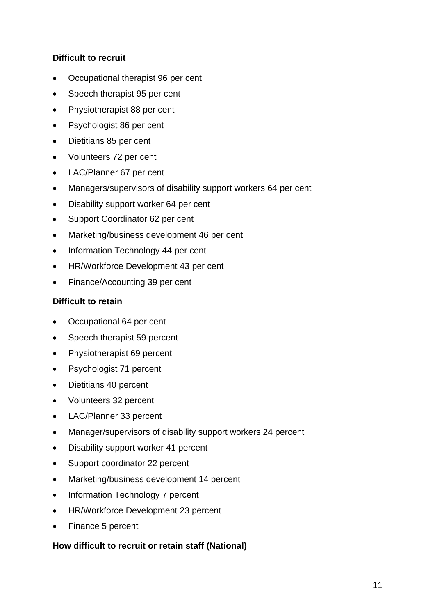#### **Difficult to recruit**

- Occupational therapist 96 per cent
- Speech therapist 95 per cent
- Physiotherapist 88 per cent
- Psychologist 86 per cent
- Dietitians 85 per cent
- Volunteers 72 per cent
- LAC/Planner 67 per cent
- Managers/supervisors of disability support workers 64 per cent
- Disability support worker 64 per cent
- Support Coordinator 62 per cent
- Marketing/business development 46 per cent
- Information Technology 44 per cent
- HR/Workforce Development 43 per cent
- Finance/Accounting 39 per cent

#### **Difficult to retain**

- Occupational 64 per cent
- Speech therapist 59 percent
- Physiotherapist 69 percent
- Psychologist 71 percent
- Dietitians 40 percent
- Volunteers 32 percent
- LAC/Planner 33 percent
- Manager/supervisors of disability support workers 24 percent
- Disability support worker 41 percent
- Support coordinator 22 percent
- Marketing/business development 14 percent
- Information Technology 7 percent
- HR/Workforce Development 23 percent
- Finance 5 percent

#### **How difficult to recruit or retain staff (National)**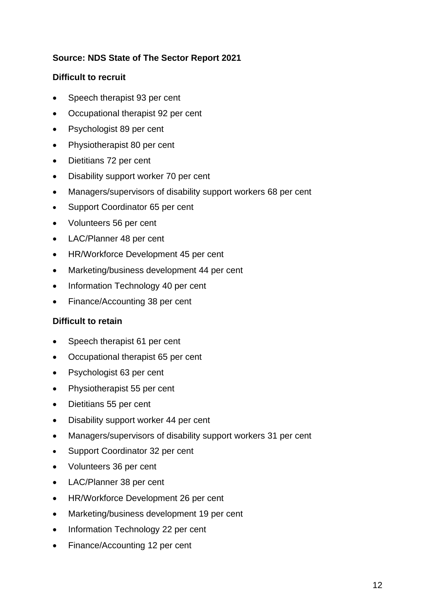#### **Source: NDS State of The Sector Report 2021**

#### **Difficult to recruit**

- Speech therapist 93 per cent
- Occupational therapist 92 per cent
- Psychologist 89 per cent
- Physiotherapist 80 per cent
- Dietitians 72 per cent
- Disability support worker 70 per cent
- Managers/supervisors of disability support workers 68 per cent
- Support Coordinator 65 per cent
- Volunteers 56 per cent
- LAC/Planner 48 per cent
- HR/Workforce Development 45 per cent
- Marketing/business development 44 per cent
- Information Technology 40 per cent
- Finance/Accounting 38 per cent

#### **Difficult to retain**

- Speech therapist 61 per cent
- Occupational therapist 65 per cent
- Psychologist 63 per cent
- Physiotherapist 55 per cent
- Dietitians 55 per cent
- Disability support worker 44 per cent
- Managers/supervisors of disability support workers 31 per cent
- Support Coordinator 32 per cent
- Volunteers 36 per cent
- LAC/Planner 38 per cent
- HR/Workforce Development 26 per cent
- Marketing/business development 19 per cent
- Information Technology 22 per cent
- Finance/Accounting 12 per cent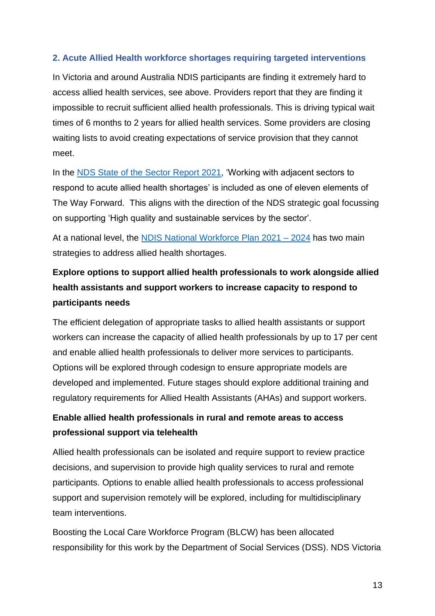#### <span id="page-12-0"></span>**2. Acute Allied Health workforce shortages requiring targeted interventions**

In Victoria and around Australia NDIS participants are finding it extremely hard to access allied health services, see above. Providers report that they are finding it impossible to recruit sufficient allied health professionals. This is driving typical wait times of 6 months to 2 years for allied health services. Some providers are closing waiting lists to avoid creating expectations of service provision that they cannot meet.

In the [NDS State of the Sector Report 2021,](https://www.nds.org.au/about/state-of-the-disability-sector-report) 'Working with adjacent sectors to respond to acute allied health shortages' is included as one of eleven elements of The Way Forward. This aligns with the direction of the NDS strategic goal focussing on supporting 'High quality and sustainable services by the sector'.

At a national level, the [NDIS National Workforce Plan 2021 –](https://www.dss.gov.au/disability-and-carers-publications-articles/ndis-national-workforce-plan-2021-2025) 2024 has two main strategies to address allied health shortages.

## **Explore options to support allied health professionals to work alongside allied health assistants and support workers to increase capacity to respond to participants needs**

The efficient delegation of appropriate tasks to allied health assistants or support workers can increase the capacity of allied health professionals by up to 17 per cent and enable allied health professionals to deliver more services to participants. Options will be explored through codesign to ensure appropriate models are developed and implemented. Future stages should explore additional training and regulatory requirements for Allied Health Assistants (AHAs) and support workers.

## **Enable allied health professionals in rural and remote areas to access professional support via telehealth**

Allied health professionals can be isolated and require support to review practice decisions, and supervision to provide high quality services to rural and remote participants. Options to enable allied health professionals to access professional support and supervision remotely will be explored, including for multidisciplinary team interventions.

Boosting the Local Care Workforce Program (BLCW) has been allocated responsibility for this work by the Department of Social Services (DSS). NDS Victoria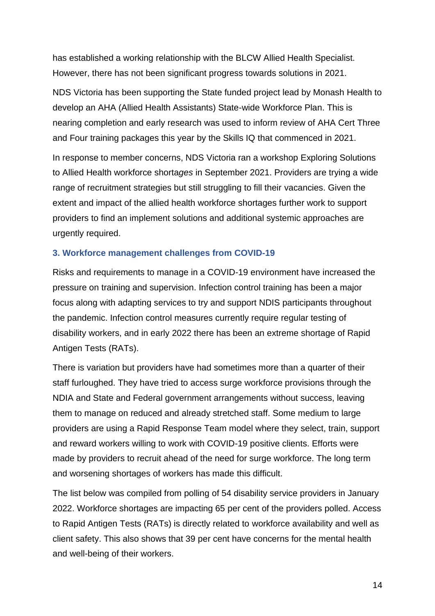has established a working relationship with the BLCW Allied Health Specialist. However, there has not been significant progress towards solutions in 2021.

NDS Victoria has been supporting the State funded project lead by Monash Health to develop an [AHA \(Allied Health Assistants\) State-wide Workforce Plan.](https://monashhealth.org/wp-content/uploads/2020/11/4-Kath-Greer-AHA-Workforce-Plan.pdf) This is nearing completion and early research was used to inform review of [AHA Cert Three](https://www.skillsiq.com.au/CurrentProjectsandCaseStudies/AlliedHealthAssistanceTPD)  [and Four training packages this year by the Skills IQ](https://www.skillsiq.com.au/CurrentProjectsandCaseStudies/AlliedHealthAssistanceTPD) that commenced in 2021.

In response to member concerns, NDS Victoria ran a workshop Exploring Solutions to Allied Health workforce shorta*ges* in September 2021. Providers are trying a wide range of recruitment strategies but still struggling to fill their vacancies. Given the extent and impact of the allied health workforce shortages further work to support providers to find an implement solutions and additional systemic approaches are urgently required.

#### <span id="page-13-0"></span>**3. Workforce management challenges from COVID-19**

Risks and requirements to manage in a COVID-19 environment have increased the pressure on training and supervision. Infection control training has been a major focus along with adapting services to try and support NDIS participants throughout the pandemic. Infection control measures currently require regular testing of disability workers, and in early 2022 there has been an extreme shortage of Rapid Antigen Tests (RATs).

There is variation but providers have had sometimes more than a quarter of their staff furloughed. They have tried to access surge workforce provisions through the NDIA and State and Federal government arrangements without success, leaving them to manage on reduced and already stretched staff. Some medium to large providers are using a Rapid Response Team model where they select, train, support and reward workers willing to work with COVID-19 positive clients. Efforts were made by providers to recruit ahead of the need for surge workforce. The long term and worsening shortages of workers has made this difficult.

The list below was compiled from polling of 54 disability service providers in January 2022. Workforce shortages are impacting 65 per cent of the providers polled. Access to Rapid Antigen Tests (RATs) is directly related to workforce availability and well as client safety. This also shows that 39 per cent have concerns for the mental health and well-being of their workers.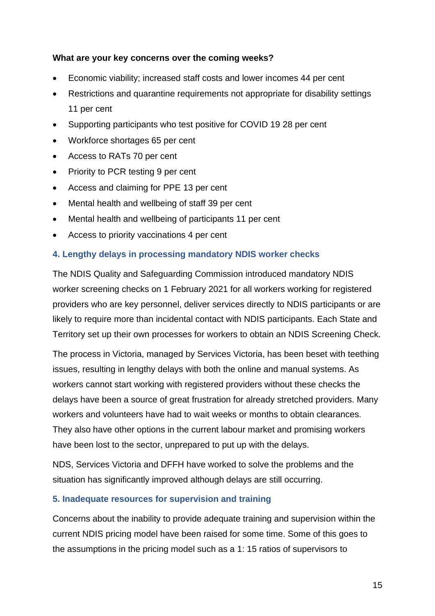#### **What are your key concerns over the coming weeks?**

- Economic viability; increased staff costs and lower incomes 44 per cent
- Restrictions and quarantine requirements not appropriate for disability settings 11 per cent
- Supporting participants who test positive for COVID 19 28 per cent
- Workforce shortages 65 per cent
- Access to RATs 70 per cent
- Priority to PCR testing 9 per cent
- Access and claiming for PPE 13 per cent
- Mental health and wellbeing of staff 39 per cent
- Mental health and wellbeing of participants 11 per cent
- Access to priority vaccinations 4 per cent

#### <span id="page-14-0"></span>**4. Lengthy delays in processing mandatory NDIS worker checks**

The NDIS Quality and Safeguarding Commission introduced mandatory NDIS worker screening checks on 1 February 2021 for all workers working for registered providers who are key personnel, deliver services directly to NDIS participants or are likely to require more than incidental contact with NDIS participants. Each State and Territory set up their own processes for workers to obtain an NDIS Screening Check.

The process in Victoria, managed by Services Victoria, has been beset with teething issues, resulting in lengthy delays with both the online and manual systems. As workers cannot start working with registered providers without these checks the delays have been a source of great frustration for already stretched providers. Many workers and volunteers have had to wait weeks or months to obtain clearances. They also have other options in the current labour market and promising workers have been lost to the sector, unprepared to put up with the delays.

NDS, Services Victoria and DFFH have worked to solve the problems and the situation has significantly improved although delays are still occurring.

#### <span id="page-14-1"></span>**5. Inadequate resources for supervision and training**

Concerns about the inability to provide adequate training and supervision within the current NDIS pricing model have been raised for some time. Some of this goes to the assumptions in the pricing model such as a 1: 15 ratios of supervisors to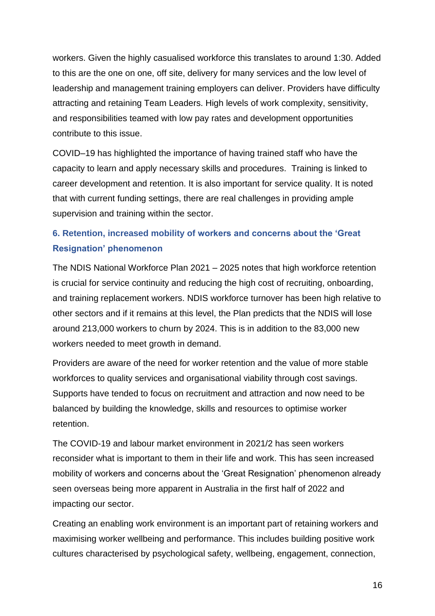workers. Given the highly casualised workforce this translates to around 1:30. Added to this are the one on one, off site, delivery for many services and the low level of leadership and management training employers can deliver. Providers have difficulty attracting and retaining Team Leaders. High levels of work complexity, sensitivity, and responsibilities teamed with low pay rates and development opportunities contribute to this issue.

COVID–19 has highlighted the importance of having trained staff who have the capacity to learn and apply necessary skills and procedures. Training is linked to career development and retention. It is also important for service quality. It is noted that with current funding settings, there are real challenges in providing ample supervision and training within the sector.

### <span id="page-15-0"></span>**6. Retention, increased mobility of workers and concerns about the 'Great Resignation' phenomenon**

The NDIS National Workforce Plan 2021 – 2025 notes that high workforce retention is crucial for service continuity and reducing the high cost of recruiting, onboarding, and training replacement workers. NDIS workforce turnover has been high relative to other sectors and if it remains at this level, the Plan predicts that the NDIS will lose around 213,000 workers to churn by 2024. This is in addition to the 83,000 new workers needed to meet growth in demand.

Providers are aware of the need for worker retention and the value of more stable workforces to quality services and organisational viability through cost savings. Supports have tended to focus on recruitment and attraction and now need to be balanced by building the knowledge, skills and resources to optimise worker retention.

The COVID-19 and labour market environment in 2021/2 has seen workers reconsider what is important to them in their life and work. This has seen increased mobility of workers and concerns about the 'Great Resignation' phenomenon already seen overseas being more apparent in Australia in the first half of 2022 and impacting our sector.

Creating an enabling work environment is an important part of retaining workers and maximising worker wellbeing and performance. This includes building positive work cultures characterised by psychological safety, wellbeing, engagement, connection,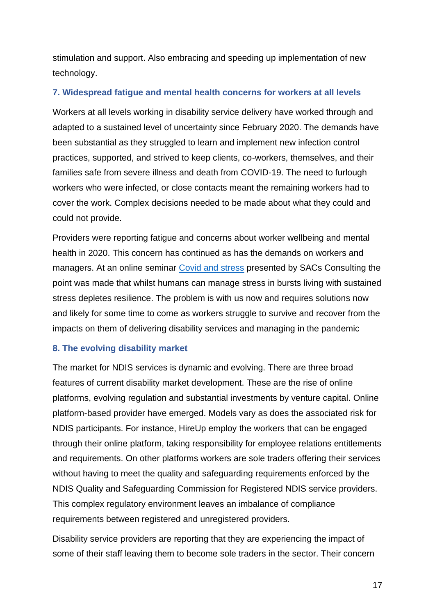stimulation and support. Also embracing and speeding up implementation of new technology.

#### <span id="page-16-0"></span>**7. Widespread fatigue and mental health concerns for workers at all levels**

Workers at all levels working in disability service delivery have worked through and adapted to a sustained level of uncertainty since February 2020. The demands have been substantial as they struggled to learn and implement new infection control practices, supported, and strived to keep clients, co-workers, themselves, and their families safe from severe illness and death from COVID-19. The need to furlough workers who were infected, or close contacts meant the remaining workers had to cover the work. Complex decisions needed to be made about what they could and could not provide.

Providers were reporting fatigue and concerns about worker wellbeing and mental health in 2020. This concern has continued as has the demands on workers and managers. At an online seminar [Covid and stress](https://sacsconsult.com.au/wp-content/uploads/2020/09/PRESENTATION-The-Stress-of-COVID-19-and-How-to-Manage-It-20-09-01.pdf) presented by SACs Consulting the point was made that whilst humans can manage stress in bursts living with sustained stress depletes resilience. The problem is with us now and requires solutions now and likely for some time to come as workers struggle to survive and recover from the impacts on them of delivering disability services and managing in the pandemic

#### <span id="page-16-1"></span>**8. The evolving disability market**

The market for NDIS services is dynamic and evolving. There are three broad features of current disability market development. These are the rise of online platforms, evolving regulation and substantial investments by venture capital. Online platform-based provider have emerged. Models vary as does the associated risk for NDIS participants. For instance, HireUp employ the workers that can be engaged through their online platform, taking responsibility for employee relations entitlements and requirements. On other platforms workers are sole traders offering their services without having to meet the quality and safeguarding requirements enforced by the NDIS Quality and Safeguarding Commission for Registered NDIS service providers. This complex regulatory environment leaves an imbalance of compliance requirements between registered and unregistered providers.

Disability service providers are reporting that they are experiencing the impact of some of their staff leaving them to become sole traders in the sector. Their concern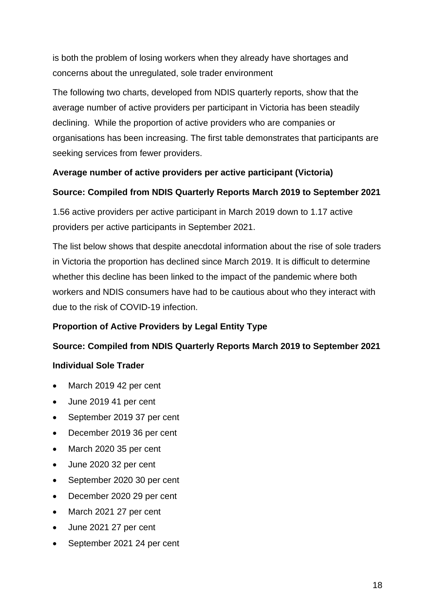is both the problem of losing workers when they already have shortages and concerns about the unregulated, sole trader environment

The following two charts, developed from NDIS quarterly reports, show that the average number of active providers per participant in Victoria has been steadily declining. While the proportion of active providers who are companies or organisations has been increasing. The first table demonstrates that participants are seeking services from fewer providers.

#### **Average number of active providers per active participant (Victoria)**

#### **Source: Compiled from NDIS Quarterly Reports March 2019 to September 2021**

1.56 active providers per active participant in March 2019 down to 1.17 active providers per active participants in September 2021.

The list below shows that despite anecdotal information about the rise of sole traders in Victoria the proportion has declined since March 2019. It is difficult to determine whether this decline has been linked to the impact of the pandemic where both workers and NDIS consumers have had to be cautious about who they interact with due to the risk of COVID-19 infection.

#### **Proportion of Active Providers by Legal Entity Type**

#### **Source: Compiled from NDIS Quarterly Reports March 2019 to September 2021**

#### **Individual Sole Trader**

- March 2019 42 per cent
- June 2019 41 per cent
- September 2019 37 per cent
- December 2019 36 per cent
- March 2020 35 per cent
- June 2020 32 per cent
- September 2020 30 per cent
- December 2020 29 per cent
- March 2021 27 per cent
- June 2021 27 per cent
- September 2021 24 per cent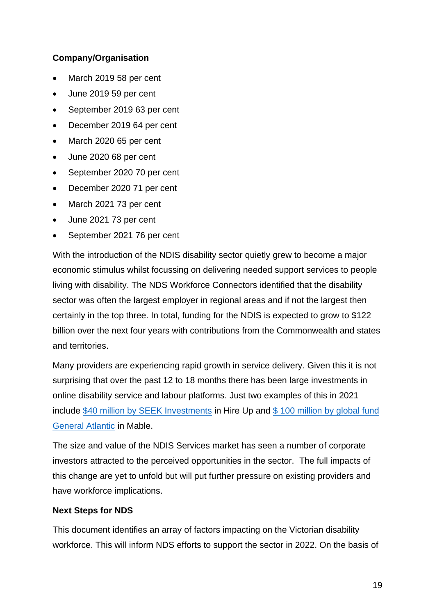#### **Company/Organisation**

- March 2019 58 per cent
- June 2019 59 per cent
- September 2019 63 per cent
- December 2019 64 per cent
- March 2020 65 per cent
- June 2020 68 per cent
- September 2020 70 per cent
- December 2020 71 per cent
- March 2021 73 per cent
- June 2021 73 per cent
- September 2021 76 per cent

With the introduction of the NDIS disability sector quietly grew to become a major economic stimulus whilst focussing on delivering needed support services to people living with disability. The NDS Workforce Connectors identified that the disability sector was often the largest employer in regional areas and if not the largest then certainly in the top three. In total, funding for the NDIS is expected to grow to \$122 billion over the next four years with contributions from the Commonwealth and states and territories.

Many providers are experiencing rapid growth in service delivery. Given this it is not surprising that over the past 12 to 18 months there has been large investments in online disability service and labour platforms. Just two examples of this in 2021 include [\\$40 million by SEEK Investments](https://www.startupdaily.net/2021/08/seek-backs-disability-services-venture-hireup-with-40-million-series-a/) in Hire Up and [\\$ 100 million by global fund](https://www.theweeklysource.com.au/mable-secures-100m-equity-investment-from-global-giant-general-atlantic-good-for-villages-and-caps/)  [General Atlantic](https://www.theweeklysource.com.au/mable-secures-100m-equity-investment-from-global-giant-general-atlantic-good-for-villages-and-caps/) in Mable.

The size and value of the NDIS Services market has seen a number of corporate investors attracted to the perceived opportunities in the sector. The full impacts of this change are yet to unfold but will put further pressure on existing providers and have workforce implications.

#### **Next Steps for NDS**

This document identifies an array of factors impacting on the Victorian disability workforce. This will inform NDS efforts to support the sector in 2022. On the basis of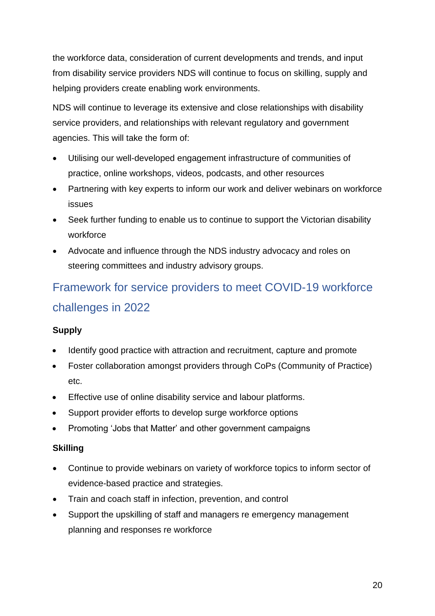the workforce data, consideration of current developments and trends, and input from disability service providers NDS will continue to focus on skilling, supply and helping providers create enabling work environments.

NDS will continue to leverage its extensive and close relationships with disability service providers, and relationships with relevant regulatory and government agencies. This will take the form of:

- Utilising our well-developed engagement infrastructure of communities of practice, online workshops, videos, podcasts, and other resources
- Partnering with key experts to inform our work and deliver webinars on workforce issues
- Seek further funding to enable us to continue to support the Victorian disability workforce
- Advocate and influence through the NDS industry advocacy and roles on steering committees and industry advisory groups.

# <span id="page-19-0"></span>Framework for service providers to meet COVID-19 workforce challenges in 2022

#### **Supply**

- Identify good practice with attraction and recruitment, capture and promote
- Foster collaboration amongst providers through CoPs (Community of Practice) etc.
- Effective use of online disability service and labour platforms.
- Support provider efforts to develop surge workforce options
- Promoting 'Jobs that Matter' and other government campaigns

#### **Skilling**

- Continue to provide webinars on variety of workforce topics to inform sector of evidence-based practice and strategies.
- Train and coach staff in infection, prevention, and control
- Support the upskilling of staff and managers re emergency management planning and responses re workforce